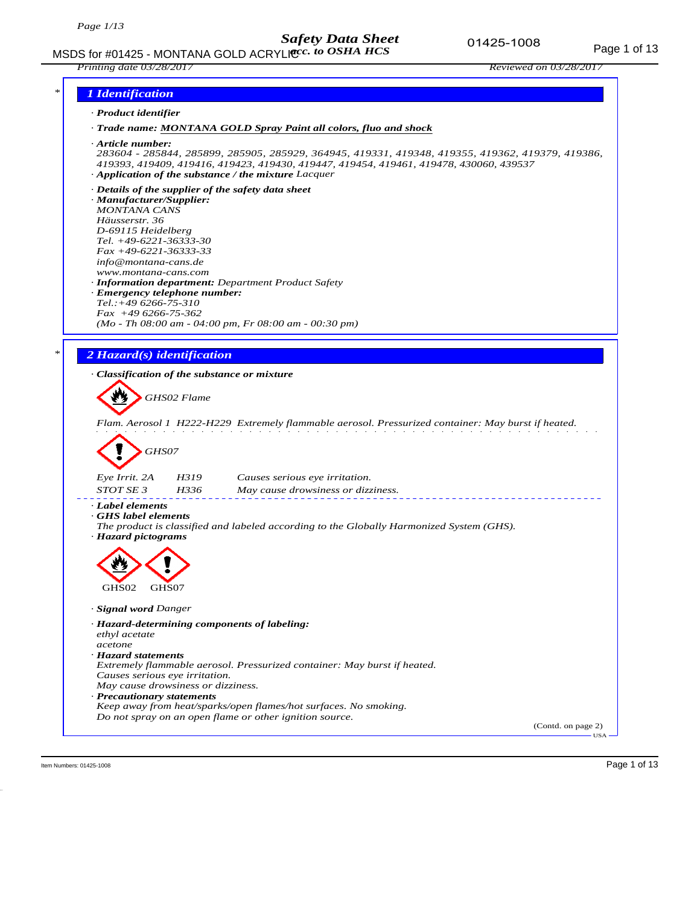

Item Numbers: 01425-1008 Page 1 of 13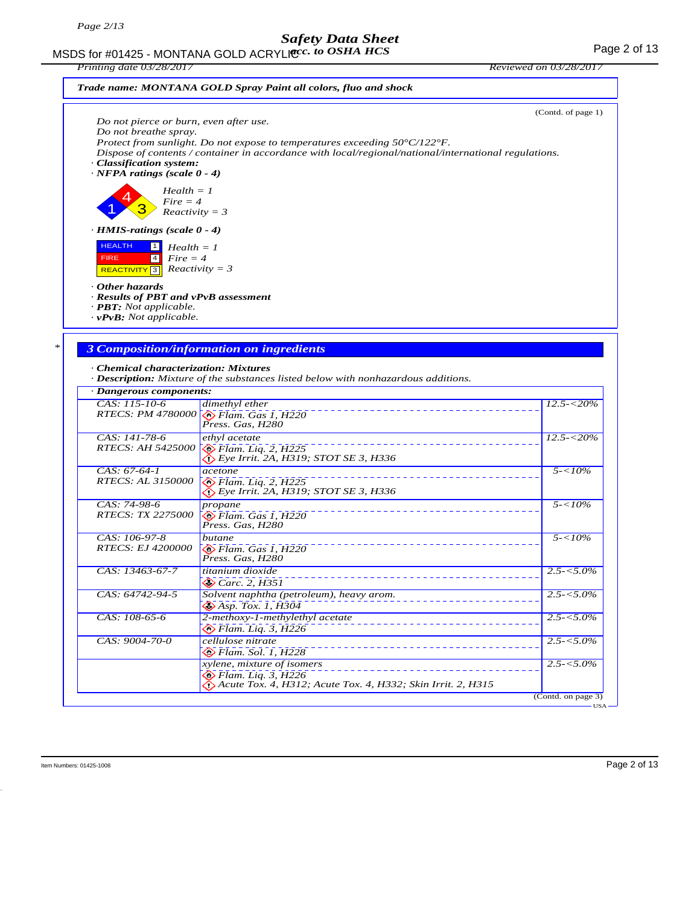MSDS for #01425 - MONTANA GOLD ACRYLIC  $cc.$  to OSHA HCS For the state of 13 *acc. to OSHA HCS*

*Printing date 03/28/2017 Reviewed on 03/28/2017*



## *Trade name: MONTANA GOLD Spray Paint all colors, fluo and shock*

|                                                                                                                            | Do not pierce or burn, even after use.                                                                                                                                                               | (Contd. of page 1)             |
|----------------------------------------------------------------------------------------------------------------------------|------------------------------------------------------------------------------------------------------------------------------------------------------------------------------------------------------|--------------------------------|
| Do not breathe spray.<br>· Classification system:<br>$\cdot$ NFPA ratings (scale 0 - 4)                                    | Protect from sunlight. Do not expose to temperatures exceeding $50^{\circ}C/122^{\circ}F$ .<br>Dispose of contents / container in accordance with local/regional/national/international regulations. |                                |
| $Health = 1$<br>$Fire = 4$<br>$Reactivity = 3$                                                                             |                                                                                                                                                                                                      |                                |
| $\cdot$ HMIS-ratings (scale 0 - 4)                                                                                         |                                                                                                                                                                                                      |                                |
| <b>HEALTH</b><br>$Health = 1$<br>$Fire = 4$<br><b>FIRE</b><br>$\vert 4 \vert$<br><b>REACTIVITY</b> 3                       | $Reactivity = 3$                                                                                                                                                                                     |                                |
| · Other hazards<br>· Results of PBT and vPvB assessment<br>· <b>PBT</b> : Not applicable.<br>$\cdot$ vPvB: Not applicable. |                                                                                                                                                                                                      |                                |
|                                                                                                                            |                                                                                                                                                                                                      |                                |
|                                                                                                                            | <b>3 Composition/information on ingredients</b>                                                                                                                                                      |                                |
| · Chemical characterization: Mixtures<br>· Dangerous components:                                                           | · Description: Mixture of the substances listed below with nonhazardous additions.                                                                                                                   |                                |
| $CAS: 115-10-6$                                                                                                            | dimethyl ether                                                                                                                                                                                       | $12.5 - 520\%$                 |
|                                                                                                                            | RTECS: PM 4780000 <b>S</b> Flam. Gas 1, H220<br>Press. Gas, H280                                                                                                                                     |                                |
| CAS: 141-78-6<br><i>RTECS: AH 5425000</i>                                                                                  | ethyl acetate<br>$\bigotimes$ Flam. Liq. 2, H225<br>Eye Irrit. 2A, H319; STOT SE 3, H336                                                                                                             | $12.5 - 20\%$                  |
| $CAS: 67-64-1$<br><i>RTECS: AL 3150000</i>                                                                                 | acetone<br>$\diamondsuit$ Flam. Liq. 2, H225<br>$\langle$ . Eye Irrit. 2A, H319; STOT SE 3, H336                                                                                                     | $5 - 10\%$                     |
| CAS: 74-98-6<br><i>RTECS: TX 2275000</i>                                                                                   | propane<br>$\otimes$ Flam. Gas 1, H220<br>Press. Gas, H280                                                                                                                                           | $5 - 10\%$                     |
|                                                                                                                            | butane                                                                                                                                                                                               | $5 - 10\%$                     |
| CAS: 106-97-8<br><b>RTECS: EJ 4200000</b>                                                                                  | $\bigotimes$ Flam. Gas 1, H220<br>Press. Gas. H280                                                                                                                                                   |                                |
| CAS: 13463-67-7                                                                                                            | titanium dioxide<br>$\otimes$ Carc. 2, H351                                                                                                                                                          |                                |
| CAS: 64742-94-5                                                                                                            | Solvent naphtha (petroleum), heavy arom.                                                                                                                                                             | $2.5 - 5.0\%$<br>$2.5 - 5.0\%$ |
| CAS: 108-65-6                                                                                                              | $\bigotimes$ Asp. Tox. 1, $\overline{H}3\overline{0}4$<br>2-methoxy-1-methylethyl acetate                                                                                                            |                                |
| CAS: 9004-70-0                                                                                                             | $\diamond$ Flam. Liq. 3, H226<br>cellulose nitrate<br>$\bigotimes$ Flam. Sol. 1, H228                                                                                                                | $2.5 - 5.0\%$<br>$2.5 - 5.0\%$ |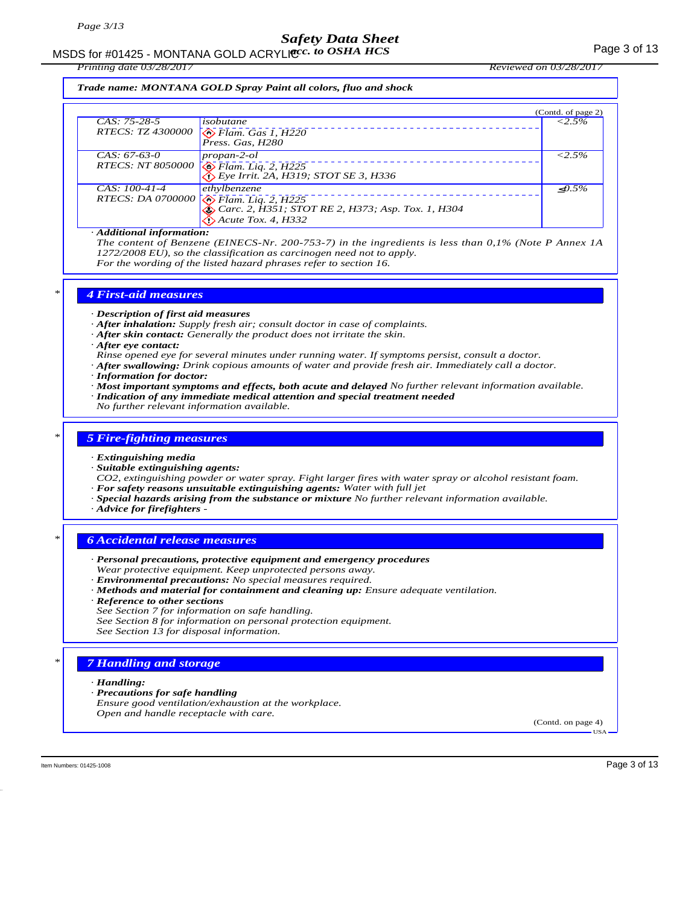# MSDS for #01425 - MONTANA GOLD ACRYLICC. to OSHA HCS **Acceleration of the COSE ACCOLD** ACRYLIC COSHA HCS

*Printing date 03/28/2017 Reviewed on 03/28/2017*

*Trade name: MONTANA GOLD Spray Paint all colors, fluo and shock*

|                          |                                                   | (Contd. of page 2) |
|--------------------------|---------------------------------------------------|--------------------|
| $CAS: 75-28-5$           | isobutane                                         | $< 2.5\%$          |
| <i>RTECS: TZ 4300000</i> | $\sqrt{\frac{1}{2}}$ Flam. Gas 1, H220            |                    |
| $CAS: 67-63-0$           | propan-2-ol                                       | $< 2.5\%$          |
|                          | RTECS: NT 8050000 8 Flam. Liq. 2, H225            |                    |
| $CAS: 100-41-4$          | ethylbenzene                                      | $\langle 0.5\%$    |
|                          | RTECS: DA 0700000 <b>S</b> Flam. Liq. 2, H225     |                    |
|                          | Carc. 2, H351; STOT RE 2, H373; Asp. Tox. 1, H304 |                    |
|                          | $\bigotimes$ Acute Tox. 4, H332                   |                    |

#### *· Additional information:*

*The content of Benzene (EINECS-Nr. 200-753-7) in the ingredients is less than 0,1% (Note P Annex 1A 1272/2008 EU), so the classification as carcinogen need not to apply. For the wording of the listed hazard phrases refer to section 16.*

*\* 4 First-aid measures*

*· Description of first aid measures*

- *· After inhalation: Supply fresh air; consult doctor in case of complaints.*
- *· After skin contact: Generally the product does not irritate the skin.*
- *· After eye contact:*
- *Rinse opened eye for several minutes under running water. If symptoms persist, consult a doctor.*
- *· After swallowing: Drink copious amounts of water and provide fresh air. Immediately call a doctor.*
- *· Information for doctor:*
- *· Most important symptoms and effects, both acute and delayed No further relevant information available. · Indication of any immediate medical attention and special treatment needed*
- *No further relevant information available.*

### *\* 5 Fire-fighting measures*

- *· Extinguishing media*
- *· Suitable extinguishing agents:*

*CO2, extinguishing powder or water spray. Fight larger fires with water spray or alcohol resistant foam. · For safety reasons unsuitable extinguishing agents: Water with full jet*

- *· Special hazards arising from the substance or mixture No further relevant information available.*
- *· Advice for firefighters*

### *\* 6 Accidental release measures*

- *· Personal precautions, protective equipment and emergency procedures Wear protective equipment. Keep unprotected persons away. · Environmental precautions: No special measures required.*
- *· Methods and material for containment and cleaning up: Ensure adequate ventilation.*
- *· Reference to other sections*
- *See Section 7 for information on safe handling.*
- *See Section 8 for information on personal protection equipment.*
- *See Section 13 for disposal information.*

### *Handling and storage*

- *· Handling:*
- *· Precautions for safe handling*
- *Ensure good ventilation/exhaustion at the workplace. Open and handle receptacle with care.*

(Contd. on page 4) USA

Item Numbers: 01425-1008 Page 3 of 13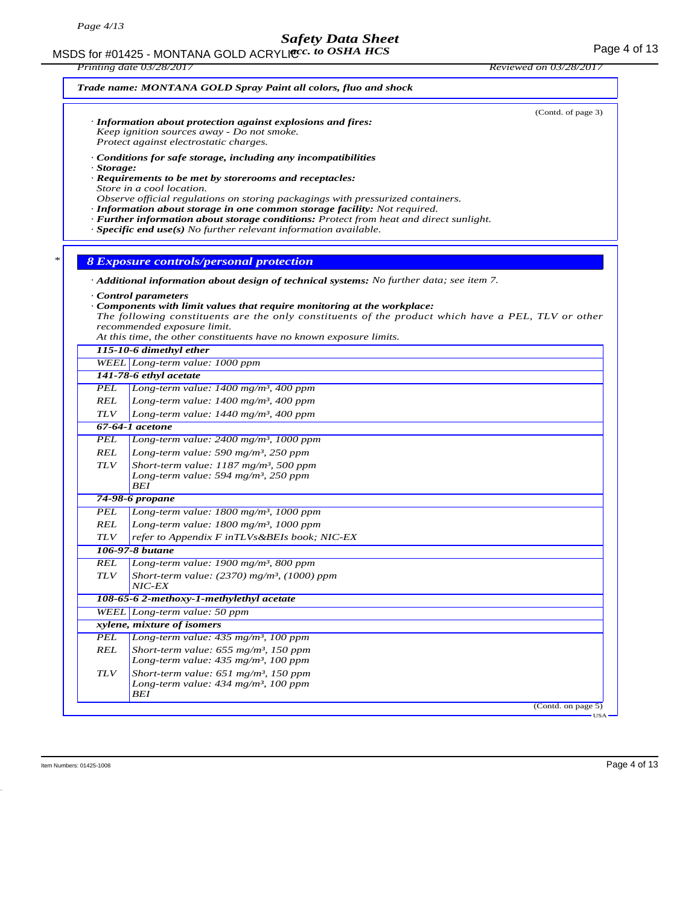MSDS for #01425 - MONTANA GOLD ACRYLICC. to OSHA HCS **Acceleration of the COSE ACCESS** Page 4 of 13

*Printing date 03/28/2017 Reviewed on 03/28/2017 Trade name: MONTANA GOLD Spray Paint all colors, fluo and shock* (Contd. of page 3) *· Information about protection against explosions and fires: Keep ignition sources away - Do not smoke. Protect against electrostatic charges. · Conditions for safe storage, including any incompatibilities · Storage: · Requirements to be met by storerooms and receptacles: Store in a cool location. Observe official regulations on storing packagings with pressurized containers. · Information about storage in one common storage facility: Not required. · Further information about storage conditions: Protect from heat and direct sunlight. · Specific end use(s) No further relevant information available. \* 8 Exposure controls/personal protection · Additional information about design of technical systems: No further data; see item 7. · Control parameters · Components with limit values that require monitoring at the workplace: The following constituents are the only constituents of the product which have a PEL, TLV or other recommended exposure limit. At this time, the other constituents have no known exposure limits. 115-10-6 dimethyl ether WEEL Long-term value: 1000 ppm 141-78-6 ethyl acetate PEL Long-term value: 1400 mg/m³, 400 ppm REL Long-term value: 1400 mg/m³, 400 ppm TLV Long-term value: 1440 mg/m³, 400 ppm 67-64-1 acetone PEL Long-term value: 2400 mg/m³, 1000 ppm REL Long-term value: 590 mg/m³, 250 ppm TLV Short-term value: 1187 mg/m³, 500 ppm Long-term value: 594 mg/m³, 250 ppm BEI 74-98-6 propane PEL Long-term value: 1800 mg/m³, 1000 ppm REL Long-term value: 1800 mg/m³, 1000 ppm TLV refer to Appendix F inTLVs&BEIs book; NIC-EX 106-97-8 butane REL Long-term value: 1900 mg/m³, 800 ppm TLV Short-term value: (2370) mg/m³, (1000) ppm NIC-EX 108-65-6 2-methoxy-1-methylethyl acetate WEEL Long-term value: 50 ppm xylene, mixture of isomers PEL Long-term value: 435 mg/m³, 100 ppm REL Short-term value: 655 mg/m³, 150 ppm Long-term value: 435 mg/m³, 100 ppm TLV Short-term value: 651 mg/m³, 150 ppm Long-term value: 434 mg/m³, 100 ppm BEI* (Contd. on page 5) USA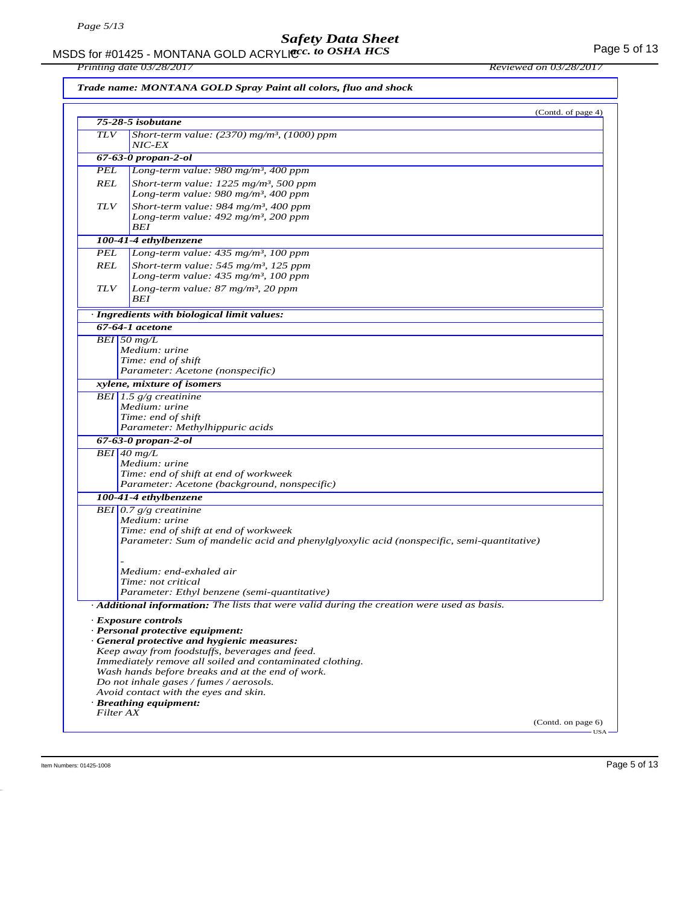MSDS for #01425 - MONTANA GOLD ACRYLIC  $cc.$  to OSHA HCS For the state of the state of the Page 5 of 13 *acc. to OSHA HCS*

*Printing date 03/28/2017 Reviewed on 03/28/2017*

*Trade name: MONTANA GOLD Spray Paint all colors, fluo and shock*

|            | (Contd. of page 4)                                                                            |
|------------|-----------------------------------------------------------------------------------------------|
|            | 75-28-5 isobutane                                                                             |
| <b>TLV</b> | Short-term value: $(2370)$ mg/m <sup>3</sup> , (1000) ppm<br>NIC-EX                           |
|            | 67-63-0 propan-2-ol                                                                           |
| PEL        | Long-term value: 980 mg/m <sup>3</sup> , 400 ppm                                              |
| REL        | Short-term value: $1225$ mg/m <sup>3</sup> , 500 ppm                                          |
|            | Long-term value: 980 mg/m <sup>3</sup> , 400 ppm                                              |
| <b>TLV</b> | Short-term value: 984 mg/m <sup>3</sup> , 400 ppm                                             |
|            | Long-term value: $492$ mg/m <sup>3</sup> , 200 ppm                                            |
|            | BEI                                                                                           |
|            | 100-41-4 ethylbenzene                                                                         |
| PEL        | Long-term value: 435 mg/m <sup>3</sup> , 100 ppm                                              |
| REL        | Short-term value: $545$ mg/m <sup>3</sup> , 125 ppm                                           |
|            | Long-term value: $435 \text{ mg/m}^3$ , 100 ppm                                               |
| <b>TLV</b> | Long-term value: 87 mg/m <sup>3</sup> , 20 ppm                                                |
|            | BEI                                                                                           |
|            | · Ingredients with biological limit values:                                                   |
|            | 67-64-1 acetone                                                                               |
|            | $BEI$ 50 mg/L                                                                                 |
|            | Medium: urine                                                                                 |
|            | Time: end of shift                                                                            |
|            | Parameter: Acetone (nonspecific)                                                              |
|            | xylene, mixture of isomers                                                                    |
|            | BEI 1.5 $g/g$ creatinine                                                                      |
|            | Medium: urine                                                                                 |
|            | Time: end of shift                                                                            |
|            | Parameter: Methylhippuric acids                                                               |
|            | $67-63-0$ propan-2-ol                                                                         |
|            | $BEI$ 40 mg/L                                                                                 |
|            | Medium: urine<br>Time: end of shift at end of workweek                                        |
|            | Parameter: Acetone (background, nonspecific)                                                  |
|            | 100-41-4 ethylbenzene                                                                         |
|            | BEI $0.7 g/g$ creatinine                                                                      |
|            | Medium: urine                                                                                 |
|            | Time: end of shift at end of workweek                                                         |
|            | Parameter: Sum of mandelic acid and phenylglyoxylic acid (nonspecific, semi-quantitative)     |
|            |                                                                                               |
|            |                                                                                               |
|            | Medium: end-exhaled air                                                                       |
|            | Time: not critical                                                                            |
|            | Parameter: Ethyl benzene (semi-quantitative)                                                  |
|            | Additional information: The lists that were valid during the creation were used as basis.     |
|            | · Exposure controls                                                                           |
|            | · Personal protective equipment:                                                              |
|            | · General protective and hygienic measures:<br>Keep away from foodstuffs, beverages and feed. |
|            | Immediately remove all soiled and contaminated clothing.                                      |
|            | Wash hands before breaks and at the end of work.                                              |
|            | Do not inhale gases / fumes / aerosols.                                                       |
|            | Avoid contact with the eyes and skin.                                                         |
|            | · Breathing equipment:                                                                        |
| Filter AX  |                                                                                               |
|            | (Contd. on page 6)                                                                            |
|            | $-$ USA -                                                                                     |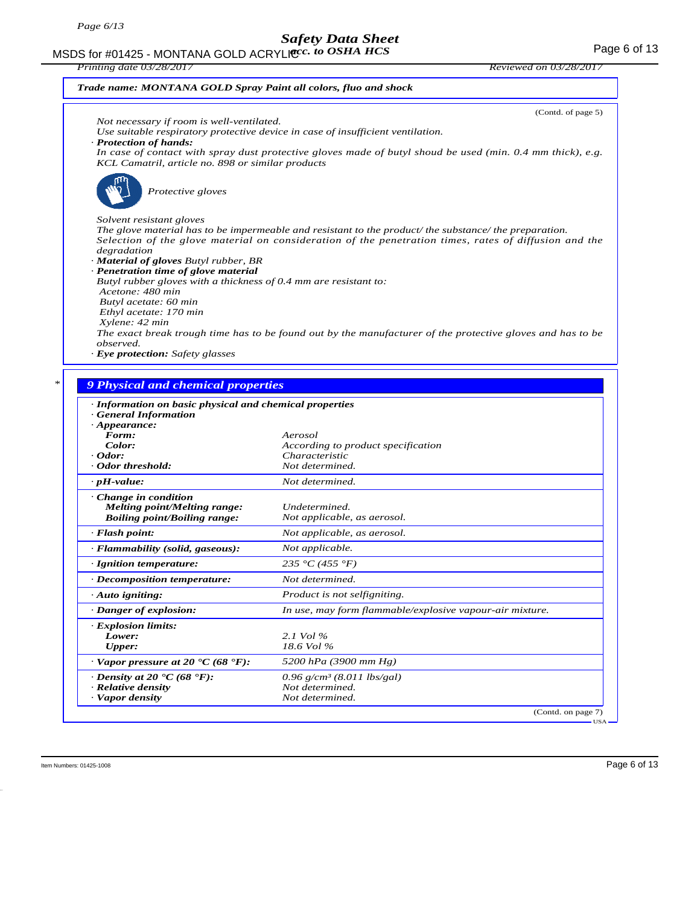#### MSDS for #01425 - MONTANA GOLD ACRYLIC  $cc.$  to OSHA HCS For the state of 13 *acc. to OSHA HCS*

| Printing date 03/28/2017                                                                                                                                          | Reviewed on 03/28/2017 |
|-------------------------------------------------------------------------------------------------------------------------------------------------------------------|------------------------|
| Trade name: MONTANA GOLD Spray Paint all colors, fluo and shock                                                                                                   |                        |
|                                                                                                                                                                   | (Contd. of page 5)     |
| Not necessary if room is well-ventilated.                                                                                                                         |                        |
| Use suitable respiratory protective device in case of insufficient ventilation.                                                                                   |                        |
| · Protection of hands:                                                                                                                                            |                        |
| In case of contact with spray dust protective gloves made of butyl shoud be used (min. $0.4$ mm thick), e.g.<br>KCL Camatril, article no. 898 or similar products |                        |
| Protective gloves                                                                                                                                                 |                        |
| Solvent resistant gloves                                                                                                                                          |                        |
| The glove material has to be impermeable and resistant to the product the substance the preparation.                                                              |                        |
| Selection of the glove material on consideration of the penetration times, rates of diffusion and the                                                             |                        |
| degradation                                                                                                                                                       |                        |
| · <b>Material of gloves</b> Butyl rubber, BR                                                                                                                      |                        |
| · Penetration time of glove material                                                                                                                              |                        |
| Butyl rubber gloves with a thickness of 0.4 mm are resistant to:                                                                                                  |                        |
| Acetone: 480 min                                                                                                                                                  |                        |
| Butyl acetate: 60 min                                                                                                                                             |                        |
| Ethyl acetate: 170 min                                                                                                                                            |                        |
| Xylene: 42 min                                                                                                                                                    |                        |
| The exact break trough time has to be found out by the manufacturer of the protective gloves and has to be                                                        |                        |
| observed.                                                                                                                                                         |                        |
| · Eye protection: Safety glasses                                                                                                                                  |                        |

| · Information on basic physical and chemical properties |                                                          |
|---------------------------------------------------------|----------------------------------------------------------|
| <b>General Information</b>                              |                                                          |
| $\cdot$ Appearance:                                     |                                                          |
| Form:                                                   | Aerosol                                                  |
| Color:                                                  | According to product specification                       |
| $\cdot$ Odor:                                           | Characteristic                                           |
| Odor threshold:                                         | Not determined.                                          |
| $\cdot$ pH-value:                                       | Not determined.                                          |
| Change in condition                                     |                                                          |
| <b>Melting point/Melting range:</b>                     | Undetermined.                                            |
| <b>Boiling point/Boiling range:</b>                     | Not applicable, as aerosol.                              |
| $\cdot$ Flash point:                                    | Not applicable, as aerosol.                              |
| · Flammability (solid, gaseous):                        | Not applicable.                                          |
| · Ignition temperature:                                 | 235 °C (455 °F)                                          |
| $\cdot$ Decomposition temperature:                      | Not determined.                                          |
| $\cdot$ Auto igniting:                                  | Product is not selfigniting.                             |
| · Danger of explosion:                                  | In use, may form flammable/explosive vapour-air mixture. |
| · Explosion limits:                                     |                                                          |
| Lower:                                                  | 2.1 Vol $\%$                                             |
| Upper:                                                  | 18.6 Vol %                                               |
| $\cdot$ Vapor pressure at 20 $\cdot$ C (68 $\cdot$ F):  | 5200 hPa (3900 mm Hg)                                    |
| $\cdot$ Density at 20 $\cdot$ C (68 $\cdot$ F):         | $0.96$ g/cm <sup>3</sup> (8.011 lbs/gal)                 |
| · Relative density                                      | Not determined.                                          |
| · Vapor density                                         | Not determined.                                          |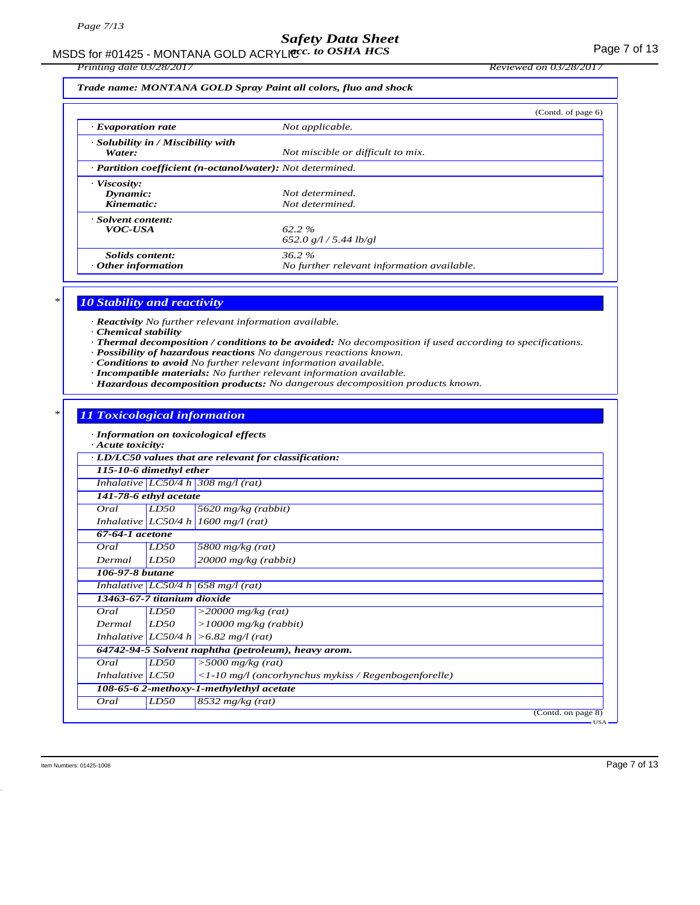MSDS for #01425 - MONTANA GOLD ACRYLICC. to OSHA HCS **Acceleration of the CONTANA COLD** ACRYLIC Control of the CON

*Printing date 03/28/2017 Reviewed on 03/28/2017*

### *Trade name: MONTANA GOLD Spray Paint all colors, fluo and shock*

|                                                            |                                                        | (Contd. of page 6) |
|------------------------------------------------------------|--------------------------------------------------------|--------------------|
| $\cdot$ Evaporation rate                                   | Not applicable.                                        |                    |
| · Solubility in / Miscibility with<br>Water:               | Not miscible or difficult to mix.                      |                    |
| · Partition coefficient (n-octanol/water): Not determined. |                                                        |                    |
| · Viscosity:<br>Dynamic:<br>Kinematic:                     | Not determined.<br>Not determined.                     |                    |
| · Solvent content:<br><b>VOC-USA</b>                       | $62.2 \%$<br>652.0 g/l / 5.44 lb/gl                    |                    |
| Solids content:<br>$\cdot$ Other information               | $36.2\%$<br>No further relevant information available. |                    |

### *\* 10 Stability and reactivity*

*· Reactivity No further relevant information available.*

- *· Chemical stability*
- *· Thermal decomposition / conditions to be avoided: No decomposition if used according to specifications.*
- *· Possibility of hazardous reactions No dangerous reactions known.*
- *· Conditions to avoid No further relevant information available.*
- *· Incompatible materials: No further relevant information available.*
- *· Hazardous decomposition products: No dangerous decomposition products known.*

### *\* 11 Toxicological information*

*· Information on toxicological effects*

| · Acute toxicity:           |      | niformanon on ioxicological effects                          |
|-----------------------------|------|--------------------------------------------------------------|
|                             |      | · LD/LC50 values that are relevant for classification:       |
| 115-10-6 dimethyl ether     |      |                                                              |
|                             |      | Inhalative $LC50/4 h$ 308 mg/l (rat)                         |
| 141-78-6 ethyl acetate      |      |                                                              |
| Oral                        | LD50 | 5620 mg/kg (rabbit)                                          |
|                             |      | Inhalative $ LC50/4 h  1600 mg/l (rat)$                      |
| $67-64-1$ acetone           |      |                                                              |
| Oral                        | LD50 | 5800 mg/kg $(rat)$                                           |
| Dermal                      | LD50 | $20000$ mg/kg (rabbit)                                       |
| 106-97-8 butane             |      |                                                              |
|                             |      | Inhalative LC50/4 h 658 mg/l (rat)                           |
| 13463-67-7 titanium dioxide |      |                                                              |
| Oral                        | LD50 | $\sqrt{>20000}$ mg/kg (rat)                                  |
| Dermal                      | LD50 | $>10000$ mg/kg (rabbit)                                      |
|                             |      | Inhalative $ LC50/4 h  > 6.82 mg/l$ (rat)                    |
|                             |      | 64742-94-5 Solvent naphtha (petroleum), heavy arom.          |
| Oral                        | LD50 | $>$ 5000 mg/kg (rat)                                         |
| Inhalative $LC50$           |      | $\langle$ -10 mg/l (oncorhynchus mykiss / Regenbogenforelle) |
|                             |      | 108-65-6 2-methoxy-1-methylethyl acetate                     |
| Oral                        | LD50 | $8532$ mg/kg (rat)                                           |
|                             |      | (Contd. on page 8)<br>$-10A$                                 |

Item Numbers: 01425-1008 Page 7 of 13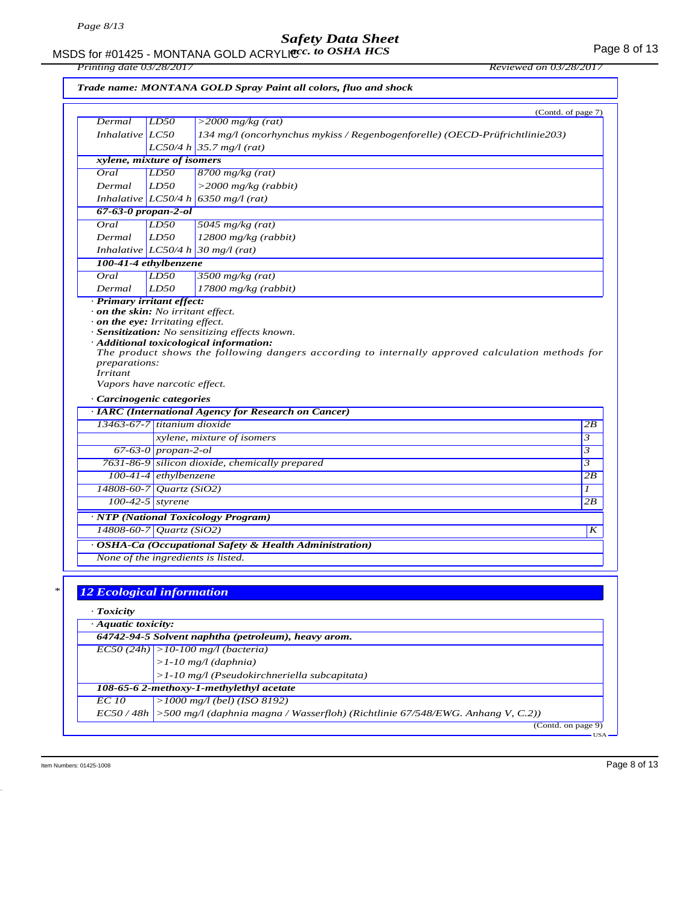#### MSDS for #01425 - MONTANA GOLD ACRYLIC  $cc.$  to OSHA HCS For the state of 13 *acc. to OSHA HCS*

*Printing date 03/28/2017 Reviewed on 03/28/2017*

|  |  | Trade name: MONTANA GOLD Spray Paint all colors, fluo and shock |  |
|--|--|-----------------------------------------------------------------|--|
|--|--|-----------------------------------------------------------------|--|

| Dermal                                   | LD50                    | (Contd. of page 7)                                                                               |
|------------------------------------------|-------------------------|--------------------------------------------------------------------------------------------------|
| Inhalative LC50                          |                         | $>$ 2000 mg/kg (rat)                                                                             |
|                                          |                         | 134 mg/l (oncorhynchus mykiss / Regenbogenforelle) (OECD-Prüfrichtlinie203)                      |
| xylene, mixture of isomers               |                         | $LC50/4 h$ 35.7 mg/l (rat)                                                                       |
| Oral                                     | LD50                    | $8700$ mg/kg (rat)                                                                               |
| Dermal                                   | LD50                    | $>$ 2000 mg/kg (rabbit)                                                                          |
|                                          |                         | Inhalative LC50/4 h 6350 mg/l (rat)                                                              |
| 67-63-0 propan-2-ol                      |                         |                                                                                                  |
| Oral                                     | LD50                    | 5045 $mg/kg$ (rat)                                                                               |
| Dermal                                   | LD50                    | $12800$ mg/kg (rabbit)                                                                           |
|                                          |                         | Inhalative $LC50/4 h 30 mg/l$ (rat)                                                              |
| 100-41-4 ethylbenzene                    |                         |                                                                                                  |
| Oral                                     | LD50                    | $3500$ mg/kg (rat)                                                                               |
| Dermal                                   | LD50                    | $17800$ mg/kg (rabbit)                                                                           |
| · Primary irritant effect:               |                         |                                                                                                  |
| $\cdot$ on the skin: No irritant effect. |                         |                                                                                                  |
| $\cdot$ on the eye: Irritating effect.   |                         |                                                                                                  |
|                                          |                         | · Sensitization: No sensitizing effects known.                                                   |
|                                          |                         | · Additional toxicological information:                                                          |
|                                          |                         | The product shows the following dangers according to internally approved calculation methods for |
| preparations:<br><i>Irritant</i>         |                         |                                                                                                  |
| Vapors have narcotic effect.             |                         |                                                                                                  |
|                                          |                         |                                                                                                  |
| · Carcinogenic categories                |                         |                                                                                                  |
| 13463-67-7 titanium dioxide              |                         | · IARC (International Agency for Research on Cancer)                                             |
|                                          |                         | xylene, mixture of isomers                                                                       |
|                                          | $67-63-0$ propan-2-ol   |                                                                                                  |
|                                          |                         | 7631-86-9 silicon dioxide, chemically prepared                                                   |
|                                          | $100-41-4$ ethylbenzene |                                                                                                  |
| 14808-60-7 Quartz (SiO2)                 |                         |                                                                                                  |
|                                          | $100-42-5$ styrene      |                                                                                                  |
|                                          |                         |                                                                                                  |
|                                          |                         | · NTP (National Toxicology Program)                                                              |
| 14808-60-7 Quartz (SiO2)                 |                         |                                                                                                  |
|                                          |                         | · OSHA-Ca (Occupational Safety & Health Administration)                                          |
|                                          |                         | None of the ingredients is listed.                                                               |
|                                          |                         |                                                                                                  |
|                                          |                         |                                                                                                  |
| <b>12 Ecological information</b>         |                         |                                                                                                  |
| · Toxicity                               |                         |                                                                                                  |
| · Aquatic toxicity:                      |                         |                                                                                                  |
|                                          |                         | 64742-94-5 Solvent naphtha (petroleum), heavy arom.                                              |
|                                          |                         | $ ECSO(24h)  > 10-100$ mg/l (bacteria)                                                           |
|                                          |                         | $>1-10$ mg/l (daphnia)                                                                           |
|                                          |                         | $>1-10$ mg/l (Pseudokirchneriella subcapitata)                                                   |
|                                          |                         | 108-65-6 2-methoxy-1-methylethyl acetate                                                         |
| <b>EC</b> 10                             |                         | $>1000$ mg/l (bel) (ISO 8192)                                                                    |
|                                          |                         | EC50/48h  >500 mg/l (daphnia magna / Wasserfloh) (Richtlinie 67/548/EWG. Anhang V, C.2))         |
|                                          |                         |                                                                                                  |

 $\frac{1}{2}$  (Contd. on page 9) USA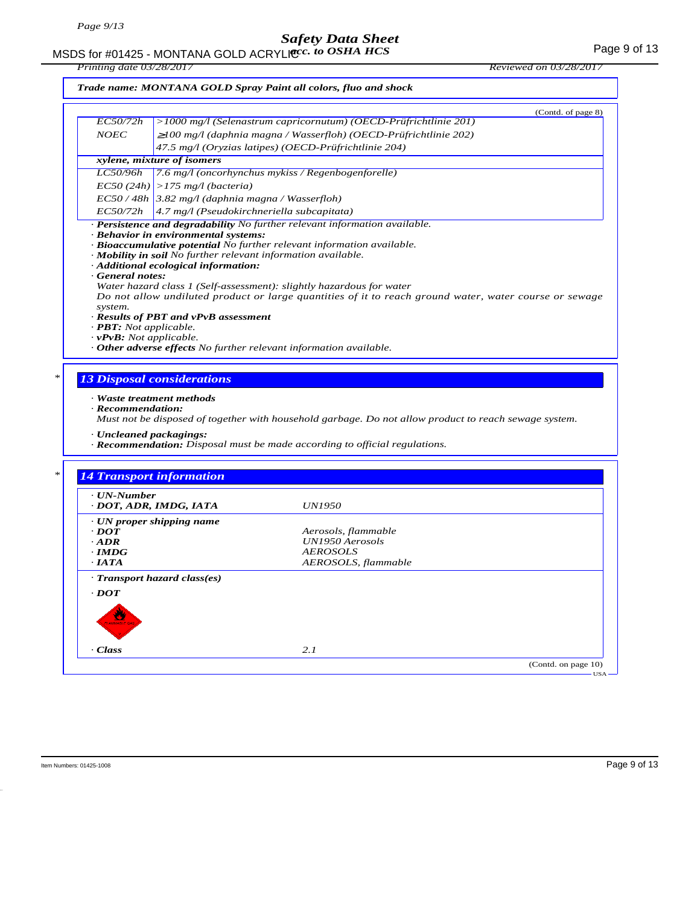# MSDS for #01425 - MONTANA GOLD ACRYLICC. to OSHA HCS **Acceleration of the COSE ACCOLD** ACRYLIC COSHA HCS

*Printing date 03/28/2017 Reviewed on 03/28/2017*

### *Trade name: MONTANA GOLD Spray Paint all colors, fluo and shock*

|                                      | (Contd. of page 8)                                                                                     |
|--------------------------------------|--------------------------------------------------------------------------------------------------------|
| EC50/72h                             | >1000 mg/l (Selenastrum capricornutum) (OECD-Prüfrichtlinie 201)                                       |
| <b>NOEC</b>                          | $\geq$ 100 mg/l (daphnia magna / Wasserfloh) (OECD-Prüfrichtlinie 202)                                 |
|                                      | 47.5 mg/l (Oryzias latipes) (OECD-Prüfrichtlinie 204)                                                  |
|                                      | xylene, mixture of isomers                                                                             |
| <i>LC50/96h</i>                      | 7.6 mg/l (oncorhynchus mykiss / Regenbogenforelle)                                                     |
|                                      | $EC50 (24h)$ > 175 mg/l (bacteria)                                                                     |
|                                      | $EC$ 50 / 48h   3.82 mg/l (daphnia magna / Wasserfloh)                                                 |
|                                      | $EC50/72h$ 4.7 mg/l (Pseudokirchneriella subcapitata)                                                  |
|                                      | $\cdot$ Persistence and degradability No further relevant information available.                       |
|                                      | · Behavior in environmental systems:                                                                   |
|                                      | · Bioaccumulative potential No further relevant information available.                                 |
|                                      | · Mobility in soil No further relevant information available.                                          |
|                                      | · Additional ecological information:                                                                   |
| General notes:                       |                                                                                                        |
|                                      | Water hazard class 1 (Self-assessment): slightly hazardous for water                                   |
| system.                              | Do not allow undiluted product or large quantities of it to reach ground water, water course or sewage |
|                                      | · Results of PBT and vPvB assessment                                                                   |
| $\cdot$ <b>PBT</b> : Not applicable. |                                                                                                        |
| $\cdot$ vPvB: Not applicable.        |                                                                                                        |

*· Other adverse effects No further relevant information available.*

### *\* 13 Disposal considerations*

#### *· Waste treatment methods*

*· Recommendation:*

*Must not be disposed of together with household garbage. Do not allow product to reach sewage system.*

- *· Uncleaned packagings:*
- *· Recommendation: Disposal must be made according to official regulations.*

| $\cdot$ UN-Number                                                     |                        |  |
|-----------------------------------------------------------------------|------------------------|--|
| · DOT, ADR, IMDG, IATA                                                | <i>UN1950</i>          |  |
| $\cdot$ UN proper shipping name                                       |                        |  |
| $\cdot$ DOT                                                           | Aerosols, flammable    |  |
| $\cdot$ ADR                                                           | <b>UN1950</b> Aerosols |  |
| $\cdot$ IMDG                                                          | <b>AEROSOLS</b>        |  |
| $\cdot$ IATA                                                          | AEROSOLS, flammable    |  |
| · Transport hazard class(es)<br>$\cdot$ <i>DOT</i><br>₩<br>AMMABLE CA |                        |  |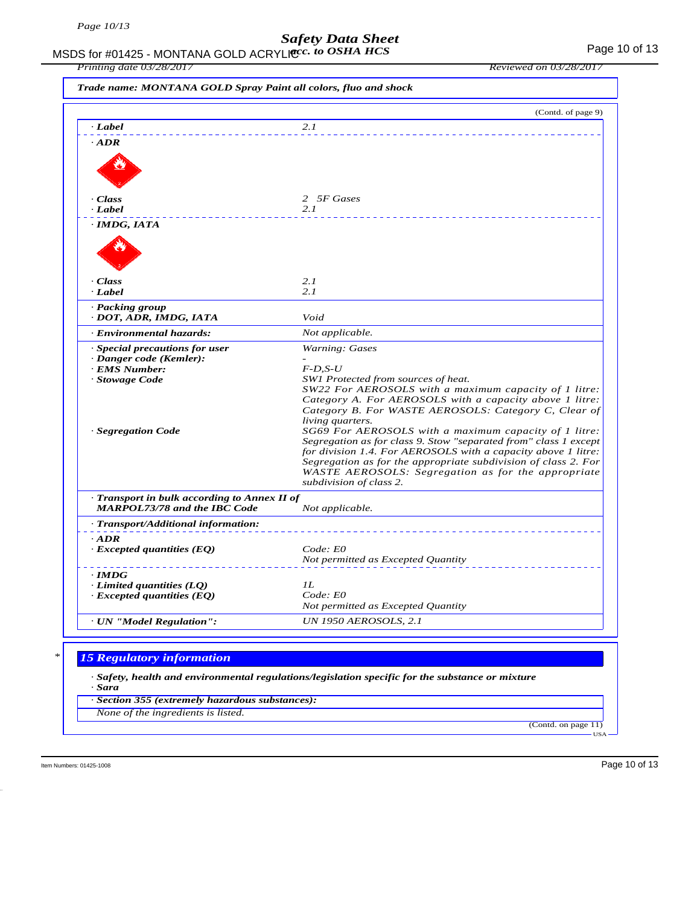MSDS for #01425 - MONTANA GOLD ACRYLIC  $cc.$  to OSHA HCS For the control of 13 *acc. to OSHA HCS*

|                                                                                     | (Contd. of page 9)                                                                                                        |
|-------------------------------------------------------------------------------------|---------------------------------------------------------------------------------------------------------------------------|
| · Label                                                                             | 2.1                                                                                                                       |
| $\cdot$ ADR                                                                         |                                                                                                                           |
|                                                                                     |                                                                                                                           |
|                                                                                     |                                                                                                                           |
|                                                                                     |                                                                                                                           |
| · Class                                                                             | 2 5F Gases                                                                                                                |
| · Label                                                                             | 2.1                                                                                                                       |
| · IMDG, IATA                                                                        |                                                                                                                           |
|                                                                                     |                                                                                                                           |
|                                                                                     |                                                                                                                           |
|                                                                                     |                                                                                                                           |
| · Class<br>· Label                                                                  | 2.1<br>2.1                                                                                                                |
| · Packing group                                                                     |                                                                                                                           |
| · DOT, ADR, IMDG, IATA                                                              | Void                                                                                                                      |
| · Environmental hazards:                                                            | Not applicable.                                                                                                           |
| · Special precautions for user                                                      | Warning: Gases                                                                                                            |
| · Danger code (Kemler):                                                             |                                                                                                                           |
| · EMS Number:<br>· Stowage Code                                                     | $F$ -D,S-U<br>SW1 Protected from sources of heat.                                                                         |
|                                                                                     | SW22 For AEROSOLS with a maximum capacity of 1 litre:                                                                     |
|                                                                                     | Category A. For AEROSOLS with a capacity above 1 litre:                                                                   |
|                                                                                     | Category B. For WASTE AEROSOLS: Category C, Clear of                                                                      |
|                                                                                     | living quarters.                                                                                                          |
| · Segregation Code                                                                  | SG69 For AEROSOLS with a maximum capacity of 1 litre:<br>Segregation as for class 9. Stow "separated from" class 1 except |
|                                                                                     | for division 1.4. For AEROSOLS with a capacity above 1 litre:                                                             |
|                                                                                     | Segregation as for the appropriate subdivision of class 2. For                                                            |
|                                                                                     | WASTE AEROSOLS: Segregation as for the appropriate                                                                        |
|                                                                                     | subdivision of class 2.                                                                                                   |
| · Transport in bulk according to Annex II of<br><b>MARPOL73/78 and the IBC Code</b> |                                                                                                                           |
| · Transport/Additional information:                                                 | Not applicable.                                                                                                           |
| $\cdot$ ADR                                                                         |                                                                                                                           |
| $\cdot$ Excepted quantities (EQ)                                                    | Code: E0                                                                                                                  |
|                                                                                     | Not permitted as Excepted Quantity                                                                                        |
| $\cdot$ IMDG                                                                        |                                                                                                                           |
| $\cdot$ Limited quantities (LQ)                                                     | 1L                                                                                                                        |
| $\cdot$ Excepted quantities (EQ)                                                    | Code: E0                                                                                                                  |
|                                                                                     | Not permitted as Excepted Quantity                                                                                        |
| · UN "Model Regulation":                                                            | <b>UN 1950 AEROSOLS, 2.1</b>                                                                                              |
|                                                                                     |                                                                                                                           |
| <b>15 Regulatory information</b>                                                    |                                                                                                                           |
|                                                                                     | $\cdot$ Safety, health and environmental regulations/legislation specific for the substance or mixture                    |

*None of the ingredients is listed.*

(Contd. on page 11) USA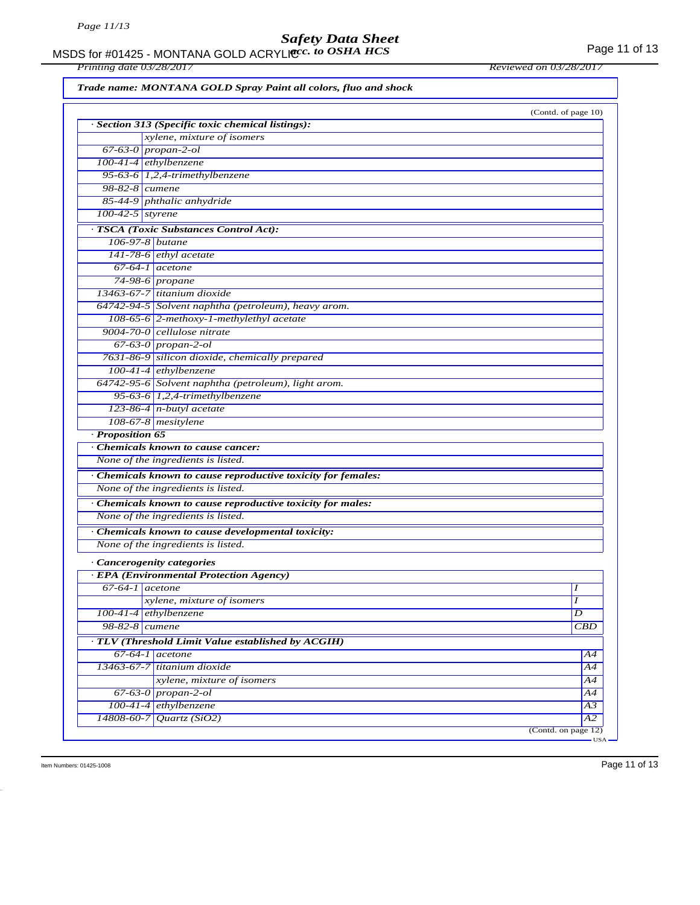#### MSDS for #01425 - MONTANA GOLD ACRYLIC  $cc.$  to OSHA HCS For the control of 13 *acc. to OSHA HCS*

*Printing date 03/28/2017 Reviewed on 03/28/2017*

*Trade name: MONTANA GOLD Spray Paint all colors, fluo and shock*

|                    | · Section 313 (Specific toxic chemical listings):             | (Contd. of page 10) |
|--------------------|---------------------------------------------------------------|---------------------|
|                    | xylene, mixture of isomers                                    |                     |
|                    | $67-63-0$ propan-2-ol                                         |                     |
|                    | 100-41-4 ethylbenzene                                         |                     |
|                    |                                                               |                     |
|                    | 95-63-6 $1,2,4$ -trimethylbenzene<br>$98-82-8$ cumene         |                     |
|                    | 85-44-9 phthalic anhydride                                    |                     |
| $100-42-5$ styrene |                                                               |                     |
|                    |                                                               |                     |
|                    | · TSCA (Toxic Substances Control Act):                        |                     |
|                    | 106-97-8 butane                                               |                     |
|                    | $141-78-6$ ethyl acetate                                      |                     |
|                    | $67-64-1$ acetone                                             |                     |
|                    | 74-98-6 propane                                               |                     |
|                    | 13463-67-7 titanium dioxide                                   |                     |
|                    | 64742-94-5 Solvent naphtha (petroleum), heavy arom.           |                     |
|                    | $108-65-6$ 2-methoxy-1-methylethyl acetate                    |                     |
|                    | $9004 - 70 - 0$ cellulose nitrate                             |                     |
|                    | $67-63-0$ propan-2-ol                                         |                     |
|                    | 7631-86-9 silicon dioxide, chemically prepared                |                     |
|                    | 100-41-4 ethylbenzene                                         |                     |
|                    | 64742-95-6 Solvent naphtha (petroleum), light arom.           |                     |
|                    | 95-63-6 $1,2,4$ -trimethylbenzene                             |                     |
|                    | $123-86-4$ n-butyl acetate                                    |                     |
|                    | 108-67-8 mesitylene                                           |                     |
| · Proposition 65   |                                                               |                     |
|                    | Chemicals known to cause cancer:                              |                     |
|                    | None of the ingredients is listed.                            |                     |
|                    | · Chemicals known to cause reproductive toxicity for females: |                     |
|                    | None of the ingredients is listed.                            |                     |
|                    | · Chemicals known to cause reproductive toxicity for males:   |                     |
|                    | None of the ingredients is listed.                            |                     |
|                    | · Chemicals known to cause developmental toxicity:            |                     |
|                    | None of the ingredients is listed.                            |                     |
|                    |                                                               |                     |
|                    | · Cancerogenity categories                                    |                     |
|                    | · EPA (Environmental Protection Agency)<br>$67-64-1$ acetone  | I                   |
|                    |                                                               | Ι                   |
|                    | xylene, mixture of isomers                                    |                     |
|                    | $100-41-4$ ethylbenzene                                       | D                   |
|                    | 98-82-8 cumene                                                | CBD                 |
|                    | · TLV (Threshold Limit Value established by ACGIH)            |                     |
|                    | $67-64-1$ acetone                                             | A4                  |
|                    | 13463-67-7 titanium dioxide                                   | $\overline{A4}$     |
|                    | xylene, mixture of isomers                                    | A4                  |
|                    | $67-63-0$ propan-2-ol                                         | A4                  |
|                    | 100-41-4 ethylbenzene                                         | $\overline{A3}$     |
| 14808-60-7         | Quartz(SiO2)                                                  | $\overline{A2}$     |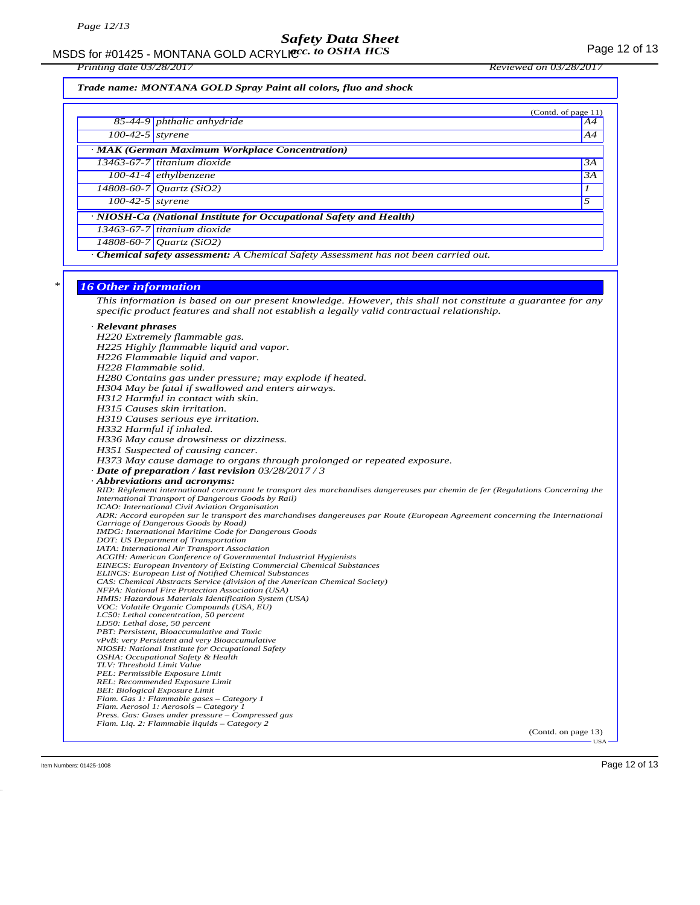MSDS for #01425 - MONTANA GOLD ACRYLICC. to OSHA HCS **Acceleration of the COSE ACCOLD** ACRYLIC COSHA HCS

*Printing date 03/28/2017 Reviewed on 03/28/2017*

*Trade name: MONTANA GOLD Spray Paint all colors, fluo and shock*

|                                                                    | (Contd. of page $11$ )                                                                    |    |  |  |
|--------------------------------------------------------------------|-------------------------------------------------------------------------------------------|----|--|--|
|                                                                    | 85-44-9 phthalic anhydride                                                                | A4 |  |  |
| $\overline{100-42-5}$ styrene                                      |                                                                                           | AA |  |  |
| · MAK (German Maximum Workplace Concentration)                     |                                                                                           |    |  |  |
|                                                                    | $13463-67-7$ titanium dioxide                                                             | 3A |  |  |
|                                                                    | $100-41-4$ ethylbenzene                                                                   | 3A |  |  |
|                                                                    | 14808-60-7 Quartz (SiO2)                                                                  |    |  |  |
| $100-42-5$ styrene                                                 |                                                                                           | 5  |  |  |
| · NIOSH-Ca (National Institute for Occupational Safety and Health) |                                                                                           |    |  |  |
|                                                                    | 13463-67-7 titanium dioxide                                                               |    |  |  |
|                                                                    | $\frac{14808}{60}$ -60-7   Quartz (SiO2)                                                  |    |  |  |
|                                                                    | <b>Chemical safety assessment:</b> A Chemical Safety Assessment has not been carried out. |    |  |  |

#### *\* 16 Other information*

*This information is based on our present knowledge. However, this shall not constitute a guarantee for any specific product features and shall not establish a legally valid contractual relationship.*

#### *· Relevant phrases*

*H220 Extremely flammable gas. H225 Highly flammable liquid and vapor. H226 Flammable liquid and vapor. H228 Flammable solid. H280 Contains gas under pressure; may explode if heated. H304 May be fatal if swallowed and enters airways. H312 Harmful in contact with skin. H315 Causes skin irritation. H319 Causes serious eye irritation. H332 Harmful if inhaled. H336 May cause drowsiness or dizziness. H351 Suspected of causing cancer. H373 May cause damage to organs through prolonged or repeated exposure. · Date of preparation / last revision 03/28/2017 / 3 · Abbreviations and acronyms: RID: Règlement international concernant le transport des marchandises dangereuses par chemin de fer (Regulations Concerning the International Transport of Dangerous Goods by Rail) ICAO: International Civil Aviation Organisation ADR: Accord européen sur le transport des marchandises dangereuses par Route (European Agreement concerning the International Carriage of Dangerous Goods by Road) IMDG: International Maritime Code for Dangerous Goods DOT: US Department of Transportation IATA: International Air Transport Association ACGIH: American Conference of Governmental Industrial Hygienists EINECS: European Inventory of Existing Commercial Chemical Substances ELINCS: European List of Notified Chemical Substances CAS: Chemical Abstracts Service (division of the American Chemical Society) NFPA: National Fire Protection Association (USA) HMIS: Hazardous Materials Identification System (USA) VOC: Volatile Organic Compounds (USA, EU) LC50: Lethal concentration, 50 percent LD50: Lethal dose, 50 percent PBT: Persistent, Bioaccumulative and Toxic vPvB: very Persistent and very Bioaccumulative NIOSH: National Institute for Occupational Safety OSHA: Occupational Safety & Health TLV: Threshold Limit Value PEL: Permissible Exposure Limit REL: Recommended Exposure Limit BEI: Biological Exposure Limit Flam. Gas 1: Flammable gases – Category 1 Flam. Aerosol 1: Aerosols – Category 1 Press. Gas: Gases under pressure – Compressed gas Flam. Liq. 2: Flammable liquids – Category 2*

(Contd. on page 13) USA

Item Numbers: 01425-1008 Page 12 of 13